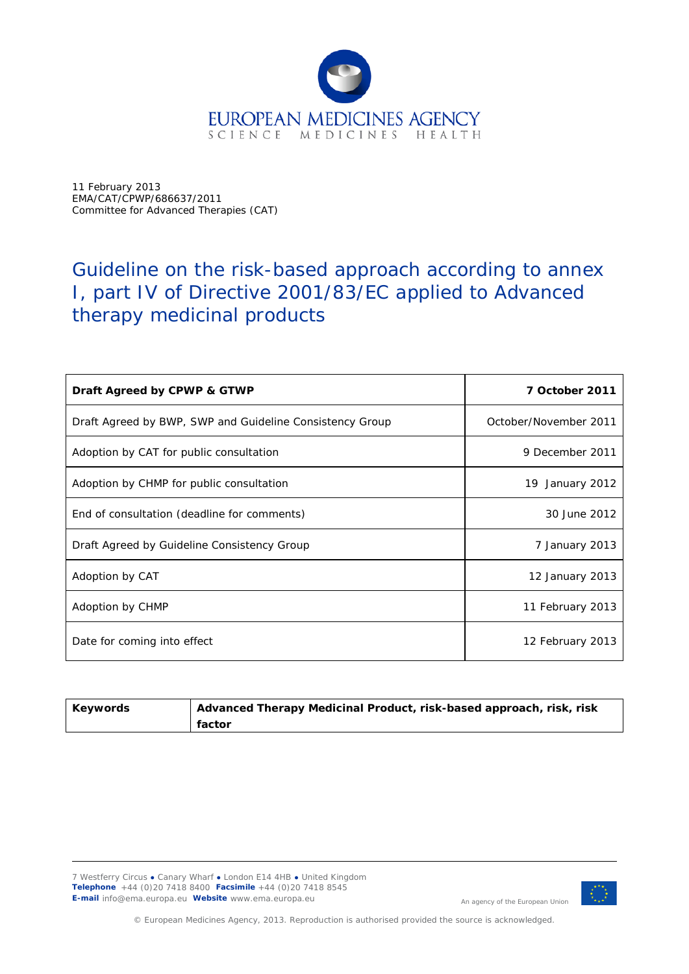

11 February 2013 EMA/CAT/CPWP/686637/2011 Committee for Advanced Therapies (CAT)

# Guideline on the risk-based approach according to annex I, part IV of Directive 2001/83/EC applied to Advanced therapy medicinal products

| Draft Agreed by CPWP & GTWP                              | 7 October 2011        |
|----------------------------------------------------------|-----------------------|
| Draft Agreed by BWP, SWP and Guideline Consistency Group | October/November 2011 |
| Adoption by CAT for public consultation                  | 9 December 2011       |
| Adoption by CHMP for public consultation                 | 19 January 2012       |
| End of consultation (deadline for comments)              | 30 June 2012          |
| Draft Agreed by Guideline Consistency Group              | 7 January 2013        |
| Adoption by CAT                                          | 12 January 2013       |
| Adoption by CHMP                                         | 11 February 2013      |
| Date for coming into effect                              | 12 February 2013      |

| Keywords | Advanced Therapy Medicinal Product, risk-based approach, risk, risk |
|----------|---------------------------------------------------------------------|
|          | factor                                                              |

7 Westferry Circus **●** Canary Wharf **●** London E14 4HB **●** United Kingdom **Telephone** +44 (0)20 7418 8400 **Facsimile** +44 (0)20 7418 8545 **E-mail** info@ema.europa.eu **Website** www.ema.europa.eu



An agency of the European Union

© European Medicines Agency, 2013. Reproduction is authorised provided the source is acknowledged.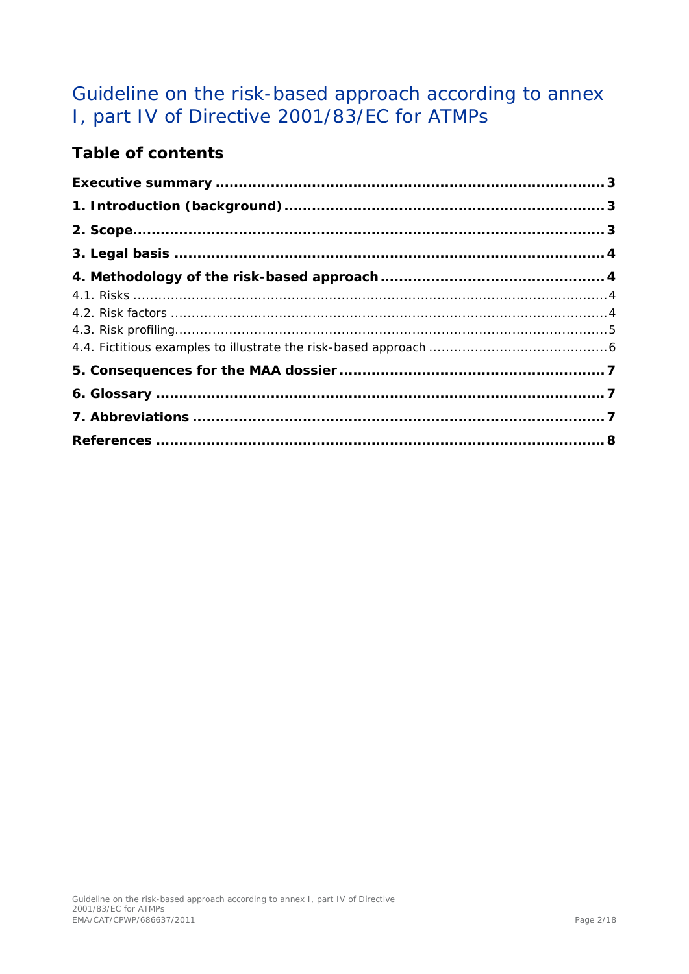# Guideline on the risk-based approach according to annex I, part IV of Directive 2001/83/EC for ATMPs

## **Table of contents**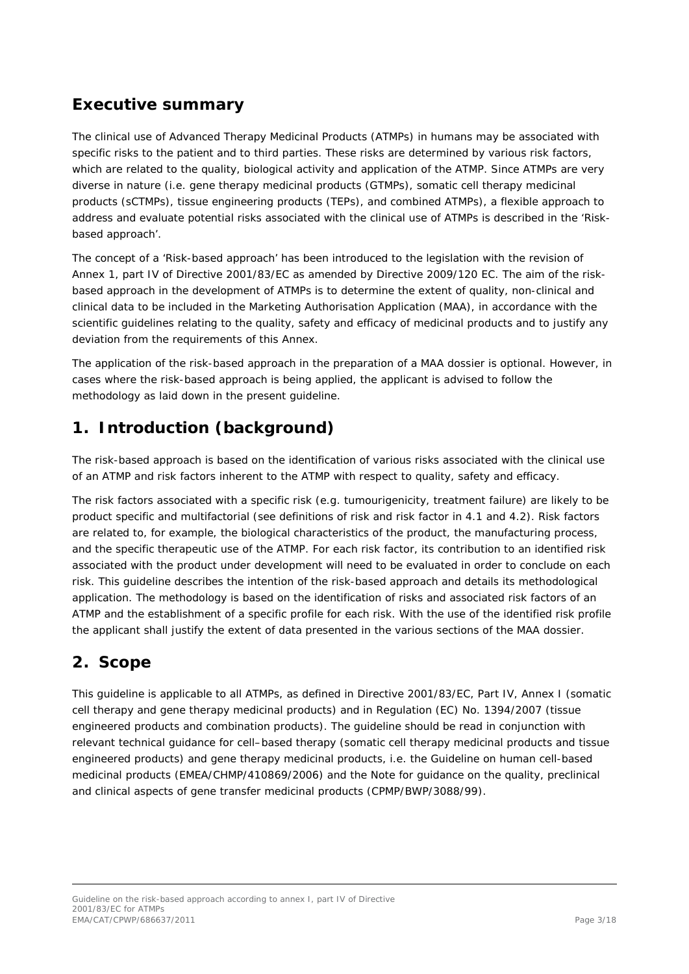## <span id="page-2-0"></span>**Executive summary**

The clinical use of Advanced Therapy Medicinal Products (ATMPs) in humans may be associated with specific risks to the patient and to third parties. These risks are determined by various risk factors, which are related to the quality, biological activity and application of the ATMP. Since ATMPs are very diverse in nature (i.e. gene therapy medicinal products (GTMPs), somatic cell therapy medicinal products (sCTMPs), tissue engineering products (TEPs), and combined ATMPs), a flexible approach to address and evaluate potential risks associated with the clinical use of ATMPs is described in the 'Riskbased approach'.

The concept of a 'Risk-based approach' has been introduced to the legislation with the revision of Annex 1, part IV of Directive 2001/83/EC as amended by Directive 2009/120 EC. The aim of the riskbased approach in the development of ATMPs is to determine the extent of quality, non-clinical and clinical data to be included in the Marketing Authorisation Application (MAA), in accordance with the scientific guidelines relating to the quality, safety and efficacy of medicinal products and to justify any deviation from the requirements of this Annex.

The application of the risk-based approach in the preparation of a MAA dossier is optional. However, in cases where the risk-based approach is being applied, the applicant is advised to follow the methodology as laid down in the present guideline.

## <span id="page-2-1"></span>**1. Introduction (background)**

The risk-based approach is based on the identification of various risks associated with the clinical use of an ATMP and risk factors inherent to the ATMP with respect to quality, safety and efficacy.

The risk factors associated with a specific risk (e.g. tumourigenicity, treatment failure) are likely to be product specific and multifactorial (see definitions of risk and risk factor in 4.1 and 4.2). Risk factors are related to, for example, the biological characteristics of the product, the manufacturing process, and the specific therapeutic use of the ATMP. For each risk factor, its contribution to an identified risk associated with the product under development will need to be evaluated in order to conclude on each risk. This guideline describes the intention of the risk-based approach and details its methodological application. The methodology is based on the identification of risks and associated risk factors of an ATMP and the establishment of a specific profile for each risk. With the use of the identified risk profile the applicant shall justify the extent of data presented in the various sections of the MAA dossier.

## <span id="page-2-2"></span>**2. Scope**

This guideline is applicable to all ATMPs, as defined in Directive 2001/83/EC, Part IV, Annex I (somatic cell therapy and gene therapy medicinal products) and in Regulation (EC) No. 1394/2007 (tissue engineered products and combination products). The guideline should be read in conjunction with relevant technical guidance for cell–based therapy (somatic cell therapy medicinal products and tissue engineered products) and gene therapy medicinal products, i.e. the Guideline on human cell-based medicinal products (EMEA/CHMP/410869/2006) and the Note for guidance on the quality, preclinical and clinical aspects of gene transfer medicinal products (CPMP/BWP/3088/99).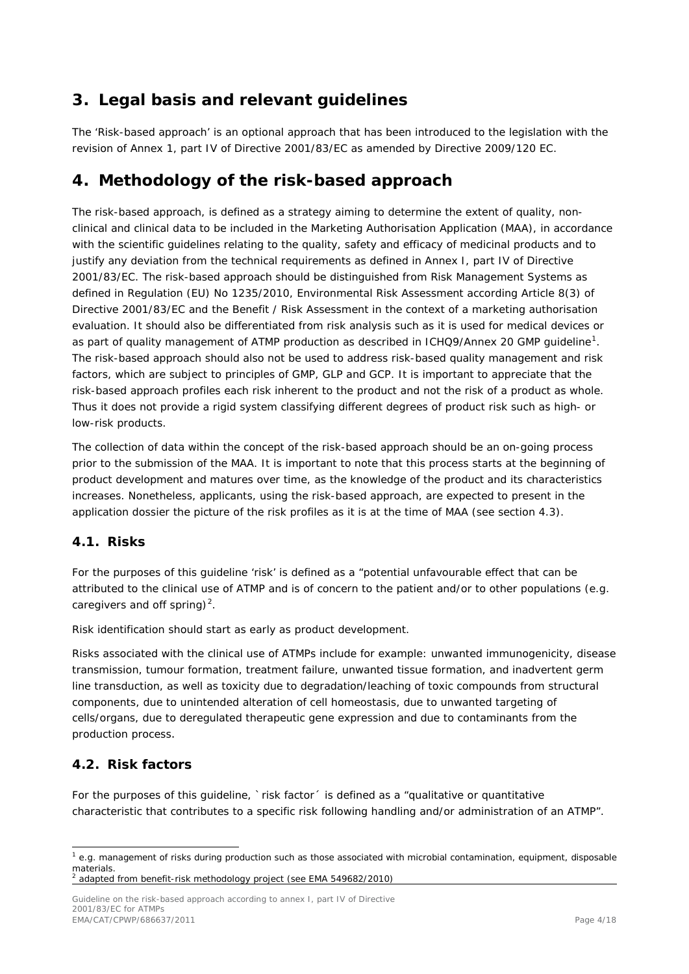## <span id="page-3-0"></span>**3. Legal basis and relevant guidelines**

The 'Risk-based approach' is an optional approach that has been introduced to the legislation with the revision of Annex 1, part IV of Directive 2001/83/EC as amended by Directive 2009/120 EC.

### <span id="page-3-1"></span>**4. Methodology of the risk-based approach**

The risk-based approach, is defined as a strategy aiming to determine the extent of quality, nonclinical and clinical data to be included in the Marketing Authorisation Application (MAA), in accordance with the scientific guidelines relating to the quality, safety and efficacy of medicinal products and to justify any deviation from the technical requirements as defined in Annex I, part IV of Directive 2001/83/EC. The risk-based approach should be distinguished from Risk Management Systems as defined in Regulation (EU) No 1235/2010, Environmental Risk Assessment according Article 8(3) of Directive 2001/83/EC and the Benefit / Risk Assessment in the context of a marketing authorisation evaluation. It should also be differentiated from risk analysis such as it is used for medical devices or as part of quality management of ATMP production as described in ICHQ9/Annex 20 GMP guideline<sup>[1](#page-3-4)</sup>. The risk-based approach should also not be used to address risk-based quality management and risk factors, which are subject to principles of GMP, GLP and GCP. It is important to appreciate that the risk-based approach profiles each risk inherent to the product and not the risk of a product as whole. Thus it does not provide a rigid system classifying different degrees of product risk such as high- or low-risk products.

The collection of data within the concept of the risk-based approach should be an on-going process prior to the submission of the MAA. It is important to note that this process starts at the beginning of product development and matures over time, as the knowledge of the product and its characteristics increases. Nonetheless, applicants, using the risk-based approach, are expected to present in the application dossier the picture of the risk profiles as it is at the time of MAA (see section 4.3).

### <span id="page-3-2"></span>*4.1. Risks*

For the purposes of this guideline 'risk' is defined as a "potential unfavourable effect that can be attributed to the clinical use of ATMP and is of concern to the patient and/or to other populations (e.g. caregivers and off spring)<sup>[2](#page-3-5)</sup>.

Risk identification should start as early as product development.

Risks associated with the clinical use of ATMPs include for example: unwanted immunogenicity, disease transmission, tumour formation, treatment failure, unwanted tissue formation, and inadvertent germ line transduction, as well as toxicity due to degradation/leaching of toxic compounds from structural components, due to unintended alteration of cell homeostasis, due to unwanted targeting of cells/organs, due to deregulated therapeutic gene expression and due to contaminants from the production process.

### <span id="page-3-3"></span>*4.2. Risk factors*

For the purposes of this quideline, `risk factor´ is defined as a "qualitative or quantitative characteristic that contributes to a specific risk following handling and/or administration of an ATMP".

<span id="page-3-5"></span>Guideline on the risk-based approach according to annex I, part IV of Directive 2001/83/EC for ATMPs EMA/CAT/CPWP/686637/2011 Page 4/18

<span id="page-3-4"></span> $1$  e.g. management of risks during production such as those associated with microbial contamination, equipment, disposable materials. <sup>2</sup> adapted from benefit-risk methodology project (see EMA 549682/2010)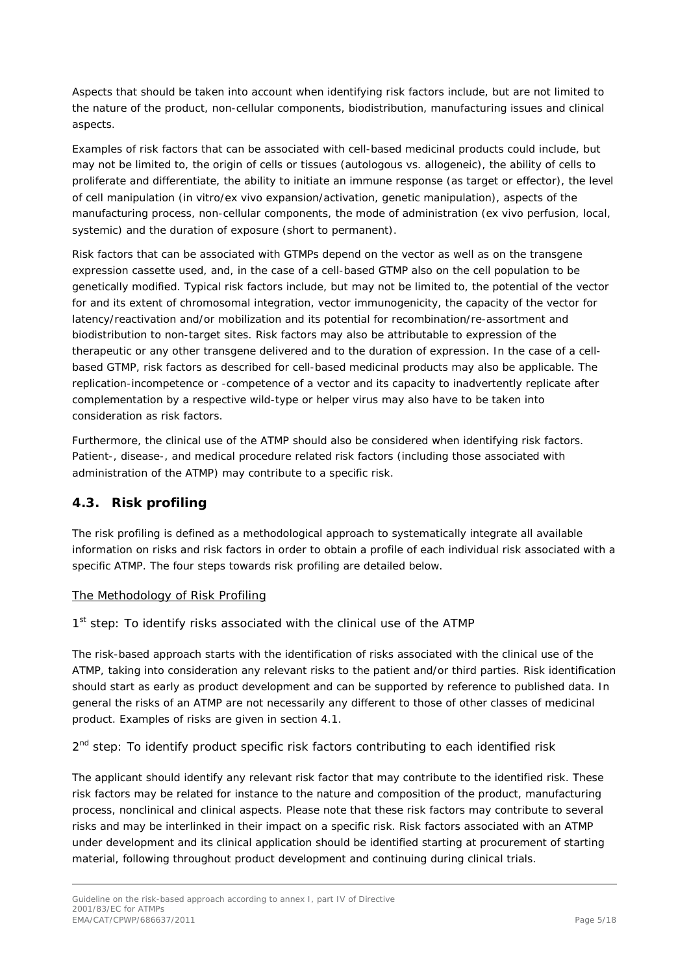Aspects that should be taken into account when identifying risk factors include, but are not limited to the nature of the product, non-cellular components, biodistribution, manufacturing issues and clinical aspects.

Examples of risk factors that can be associated with cell-based medicinal products could include, but may not be limited to, the origin of cells or tissues (autologous vs. allogeneic), the ability of cells to proliferate and differentiate, the ability to initiate an immune response (as target or effector), the level of cell manipulation (in vitro/ex vivo expansion/activation, genetic manipulation), aspects of the manufacturing process, non-cellular components, the mode of administration (ex vivo perfusion, local, systemic) and the duration of exposure (short to permanent).

Risk factors that can be associated with GTMPs depend on the vector as well as on the transgene expression cassette used, and, in the case of a cell-based GTMP also on the cell population to be genetically modified. Typical risk factors include, but may not be limited to, the potential of the vector for and its extent of chromosomal integration, vector immunogenicity, the capacity of the vector for latency/reactivation and/or mobilization and its potential for recombination/re-assortment and biodistribution to non-target sites. Risk factors may also be attributable to expression of the therapeutic or any other transgene delivered and to the duration of expression. In the case of a cellbased GTMP, risk factors as described for cell-based medicinal products may also be applicable. The replication-incompetence or -competence of a vector and its capacity to inadvertently replicate after complementation by a respective wild-type or helper virus may also have to be taken into consideration as risk factors.

Furthermore, the clinical use of the ATMP should also be considered when identifying risk factors. Patient-, disease-, and medical procedure related risk factors (including those associated with administration of the ATMP) may contribute to a specific risk.

### <span id="page-4-0"></span>*4.3. Risk profiling*

The risk profiling is defined as a methodological approach to systematically integrate all available information on risks and risk factors in order to obtain a profile of each individual risk associated with a specific ATMP. The four steps towards risk profiling are detailed below.

#### The Methodology of Risk Profiling

#### *1st step: To identify risks associated with the clinical use of the ATMP*

The risk-based approach starts with the identification of risks associated with the clinical use of the ATMP, taking into consideration any relevant risks to the patient and/or third parties. Risk identification should start as early as product development and can be supported by reference to published data. In general the risks of an ATMP are not necessarily any different to those of other classes of medicinal product. Examples of risks are given in section 4.1.

#### *2nd step: To identify product specific risk factors contributing to each identified risk*

The applicant should identify any relevant risk factor that may contribute to the identified risk. These risk factors may be related for instance to the nature and composition of the product, manufacturing process, nonclinical and clinical aspects. Please note that these risk factors may contribute to several risks and may be interlinked in their impact on a specific risk. Risk factors associated with an ATMP under development and its clinical application should be identified starting at procurement of starting material, following throughout product development and continuing during clinical trials.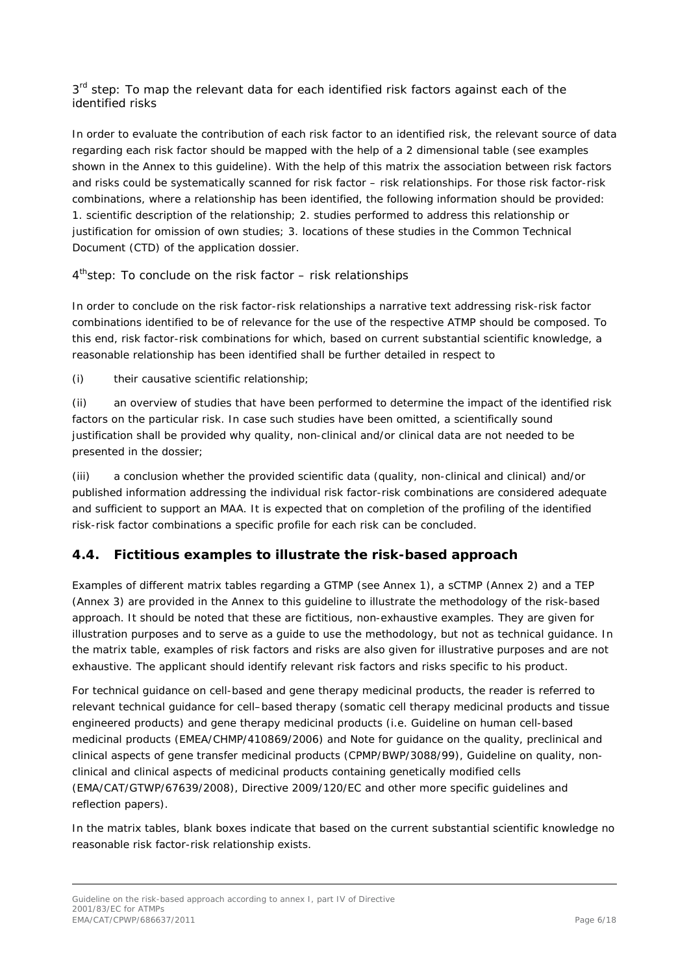#### *3rd step: To map the relevant data for each identified risk factors against each of the identified risks*

In order to evaluate the contribution of each risk factor to an identified risk, the relevant source of data regarding each risk factor should be mapped with the help of a 2 dimensional table (see examples shown in the Annex to this guideline). With the help of this matrix the association between risk factors and risks could be systematically scanned for risk factor – risk relationships. For those risk factor-risk combinations, where a relationship has been identified, the following information should be provided: 1. scientific description of the relationship; 2. studies performed to address this relationship or justification for omission of own studies; 3. locations of these studies in the Common Technical Document (CTD) of the application dossier.

### *4thstep: To conclude on the risk factor – risk relationships*

In order to conclude on the risk factor-risk relationships a narrative text addressing risk-risk factor combinations identified to be of relevance for the use of the respective ATMP should be composed. To this end, risk factor-risk combinations for which, based on current substantial scientific knowledge, a reasonable relationship has been identified shall be further detailed in respect to

(i) their causative scientific relationship;

(ii) an overview of studies that have been performed to determine the impact of the identified risk factors on the particular risk. In case such studies have been omitted, a scientifically sound justification shall be provided why quality, non-clinical and/or clinical data are not needed to be presented in the dossier;

(iii) a conclusion whether the provided scientific data (quality, non-clinical and clinical) and/or published information addressing the individual risk factor-risk combinations are considered adequate and sufficient to support an MAA. It is expected that on completion of the profiling of the identified risk-risk factor combinations a specific profile for each risk can be concluded.

### <span id="page-5-0"></span>*4.4. Fictitious examples to illustrate the risk-based approach*

Examples of different matrix tables regarding a GTMP (see Annex 1), a sCTMP (Annex 2) and a TEP (Annex 3) are provided in the Annex to this guideline to illustrate the methodology of the risk-based approach. It should be noted that these are fictitious, non-exhaustive examples. They are given for illustration purposes and to serve as a guide to use the methodology, but not as technical guidance. In the matrix table, examples of risk factors and risks are also given for illustrative purposes and are not exhaustive. The applicant should identify relevant risk factors and risks specific to his product.

For technical guidance on cell-based and gene therapy medicinal products, the reader is referred to relevant technical guidance for cell–based therapy (somatic cell therapy medicinal products and tissue engineered products) and gene therapy medicinal products (i.e. Guideline on human cell-based medicinal products (EMEA/CHMP/410869/2006) and Note for guidance on the quality, preclinical and clinical aspects of gene transfer medicinal products (CPMP/BWP/3088/99), Guideline on quality, nonclinical and clinical aspects of medicinal products containing genetically modified cells (EMA/CAT/GTWP/67639/2008), Directive 2009/120/EC and other more specific guidelines and reflection papers).

In the matrix tables, blank boxes indicate that based on the current substantial scientific knowledge no reasonable risk factor-risk relationship exists.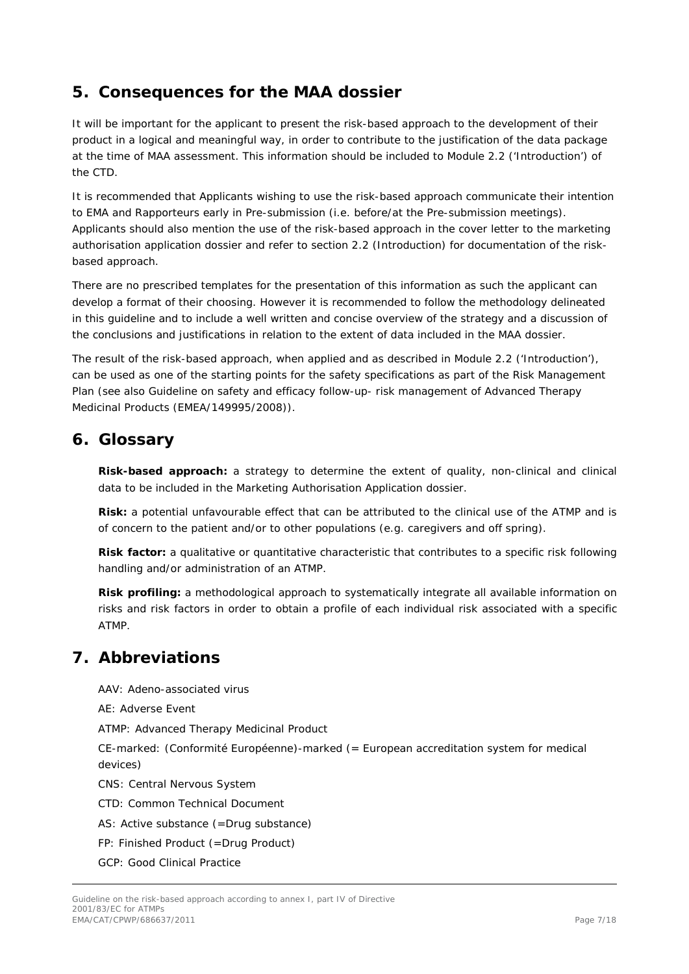### <span id="page-6-0"></span>**5. Consequences for the MAA dossier**

It will be important for the applicant to present the risk-based approach to the development of their product in a logical and meaningful way, in order to contribute to the justification of the data package at the time of MAA assessment. This information should be included to Module 2.2 ('Introduction') of the CTD.

It is recommended that Applicants wishing to use the risk-based approach communicate their intention to EMA and Rapporteurs early in Pre-submission (i.e. before/at the Pre-submission meetings). Applicants should also mention the use of the risk-based approach in the cover letter to the marketing authorisation application dossier and refer to section 2.2 (Introduction) for documentation of the riskbased approach.

There are no prescribed templates for the presentation of this information as such the applicant can develop a format of their choosing. However it is recommended to follow the methodology delineated in this guideline and to include a well written and concise overview of the strategy and a discussion of the conclusions and justifications in relation to the extent of data included in the MAA dossier.

The result of the risk-based approach, when applied and as described in Module 2.2 ('Introduction'), can be used as one of the starting points for the safety specifications as part of the Risk Management Plan (see also Guideline on safety and efficacy follow-up- risk management of Advanced Therapy Medicinal Products (EMEA/149995/2008)).

### <span id="page-6-1"></span>**6. Glossary**

**Risk-based approach:** a strategy to determine the extent of quality, non-clinical and clinical data to be included in the Marketing Authorisation Application dossier.

**Risk:** a potential unfavourable effect that can be attributed to the clinical use of the ATMP and is of concern to the patient and/or to other populations (e.g. caregivers and off spring).

**Risk factor:** a qualitative or quantitative characteristic that contributes to a specific risk following handling and/or administration of an ATMP.

**Risk profiling:** a methodological approach to systematically integrate all available information on risks and risk factors in order to obtain a profile of each individual risk associated with a specific ATMP.

### <span id="page-6-2"></span>**7. Abbreviations**

AAV: Adeno-associated virus

AE: Adverse Event

ATMP: Advanced Therapy Medicinal Product

CE-marked: (Conformité Européenne)-marked (= European accreditation system for medical devices)

CNS: Central Nervous System

CTD: Common Technical Document

AS: Active substance (=Drug substance)

FP: Finished Product (=Drug Product)

GCP: Good Clinical Practice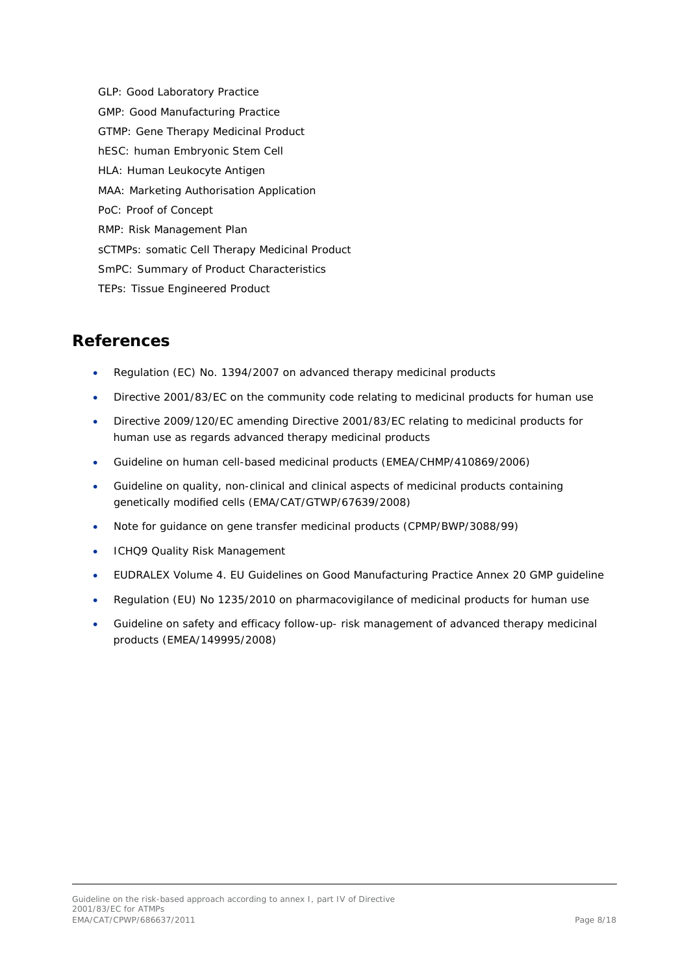GLP: Good Laboratory Practice GMP: Good Manufacturing Practice GTMP: Gene Therapy Medicinal Product hESC: human Embryonic Stem Cell HLA: Human Leukocyte Antigen MAA: Marketing Authorisation Application PoC: Proof of Concept RMP: Risk Management Plan sCTMPs: somatic Cell Therapy Medicinal Product SmPC: Summary of Product Characteristics TEPs: Tissue Engineered Product

### <span id="page-7-0"></span>**References**

- Regulation (EC) No. 1394/2007 on advanced therapy medicinal products
- Directive 2001/83/EC on the community code relating to medicinal products for human use
- Directive 2009/120/EC amending Directive 2001/83/EC relating to medicinal products for human use as regards advanced therapy medicinal products
- Guideline on human cell-based medicinal products (EMEA/CHMP/410869/2006)
- Guideline on quality, non-clinical and clinical aspects of medicinal products containing genetically modified cells (EMA/CAT/GTWP/67639/2008)
- Note for guidance on gene transfer medicinal products (CPMP/BWP/3088/99)
- ICHQ9 Quality Risk Management
- EUDRALEX Volume 4. EU Guidelines on Good Manufacturing Practice Annex 20 GMP guideline
- Regulation (EU) No 1235/2010 on pharmacovigilance of medicinal products for human use
- Guideline on safety and efficacy follow-up- risk management of advanced therapy medicinal products (EMEA/149995/2008)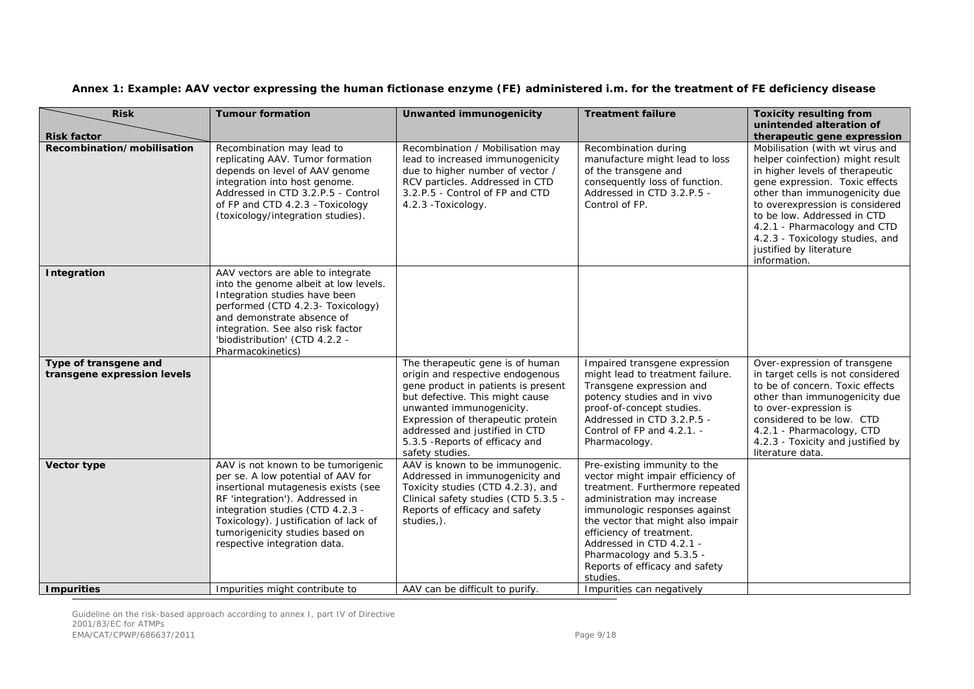| Annex 1: Example: AAV vector expressing the human fictionase enzyme (FE) administered i.m. for the treatment of FE deficiency disease |  |  |
|---------------------------------------------------------------------------------------------------------------------------------------|--|--|
|---------------------------------------------------------------------------------------------------------------------------------------|--|--|

| <b>Risk</b>                                          | <b>Tumour formation</b>                                                                                                                                                                                                                                                                            | Unwanted immunogenicity                                                                                                                                                                                                                                                                                 | <b>Treatment failure</b>                                                                                                                                                                                                                                                                                                                    | <b>Toxicity resulting from</b>                                                                                                                                                                                                                                                                                                                            |
|------------------------------------------------------|----------------------------------------------------------------------------------------------------------------------------------------------------------------------------------------------------------------------------------------------------------------------------------------------------|---------------------------------------------------------------------------------------------------------------------------------------------------------------------------------------------------------------------------------------------------------------------------------------------------------|---------------------------------------------------------------------------------------------------------------------------------------------------------------------------------------------------------------------------------------------------------------------------------------------------------------------------------------------|-----------------------------------------------------------------------------------------------------------------------------------------------------------------------------------------------------------------------------------------------------------------------------------------------------------------------------------------------------------|
| <b>Risk factor</b>                                   |                                                                                                                                                                                                                                                                                                    |                                                                                                                                                                                                                                                                                                         |                                                                                                                                                                                                                                                                                                                                             | unintended alteration of<br>therapeutic gene expression                                                                                                                                                                                                                                                                                                   |
| Recombination/mobilisation                           | Recombination may lead to<br>replicating AAV. Tumor formation<br>depends on level of AAV genome<br>integration into host genome.<br>Addressed in CTD 3.2.P.5 - Control<br>of FP and CTD 4.2.3 - Toxicology<br>(toxicology/integration studies).                                                    | Recombination / Mobilisation may<br>lead to increased immunogenicity<br>due to higher number of vector /<br>RCV particles. Addressed in CTD<br>3.2.P.5 - Control of FP and CTD<br>4.2.3 - Toxicology.                                                                                                   | Recombination during<br>manufacture might lead to loss<br>of the transgene and<br>consequently loss of function.<br>Addressed in CTD 3.2.P.5 -<br>Control of FP.                                                                                                                                                                            | Mobilisation (with wt virus and<br>helper coinfection) might result<br>in higher levels of therapeutic<br>gene expression. Toxic effects<br>other than immunogenicity due<br>to overexpression is considered<br>to be low. Addressed in CTD<br>4.2.1 - Pharmacology and CTD<br>4.2.3 - Toxicology studies, and<br>justified by literature<br>information. |
| Integration                                          | AAV vectors are able to integrate<br>into the genome albeit at low levels.<br>Integration studies have been<br>performed (CTD 4.2.3- Toxicology)<br>and demonstrate absence of<br>integration. See also risk factor<br>'biodistribution' (CTD 4.2.2 -<br>Pharmacokinetics)                         |                                                                                                                                                                                                                                                                                                         |                                                                                                                                                                                                                                                                                                                                             |                                                                                                                                                                                                                                                                                                                                                           |
| Type of transgene and<br>transgene expression levels |                                                                                                                                                                                                                                                                                                    | The therapeutic gene is of human<br>origin and respective endogenous<br>gene product in patients is present<br>but defective. This might cause<br>unwanted immunogenicity.<br>Expression of therapeutic protein<br>addressed and justified in CTD<br>5.3.5 - Reports of efficacy and<br>safety studies. | Impaired transgene expression<br>might lead to treatment failure.<br>Transgene expression and<br>potency studies and in vivo<br>proof-of-concept studies.<br>Addressed in CTD 3.2.P.5 -<br>Control of FP and 4.2.1. -<br>Pharmacology.                                                                                                      | Over-expression of transgene<br>in target cells is not considered<br>to be of concern. Toxic effects<br>other than immunogenicity due<br>to over-expression is<br>considered to be low. CTD<br>4.2.1 - Pharmacology, CTD<br>4.2.3 - Toxicity and justified by<br>literature data.                                                                         |
| Vector type                                          | AAV is not known to be tumorigenic<br>per se. A low potential of AAV for<br>insertional mutagenesis exists (see<br>RF 'integration'). Addressed in<br>integration studies (CTD 4.2.3 -<br>Toxicology). Justification of lack of<br>tumorigenicity studies based on<br>respective integration data. | AAV is known to be immunogenic.<br>Addressed in immunogenicity and<br>Toxicity studies (CTD 4.2.3), and<br>Clinical safety studies (CTD 5.3.5 -<br>Reports of efficacy and safety<br>studies,).                                                                                                         | Pre-existing immunity to the<br>vector might impair efficiency of<br>treatment. Furthermore repeated<br>administration may increase<br>immunologic responses against<br>the vector that might also impair<br>efficiency of treatment.<br>Addressed in CTD 4.2.1 -<br>Pharmacology and 5.3.5 -<br>Reports of efficacy and safety<br>studies. |                                                                                                                                                                                                                                                                                                                                                           |
| <b>Impurities</b>                                    | Impurities might contribute to                                                                                                                                                                                                                                                                     | AAV can be difficult to purify.                                                                                                                                                                                                                                                                         | Impurities can negatively                                                                                                                                                                                                                                                                                                                   |                                                                                                                                                                                                                                                                                                                                                           |

Guideline on the risk-based approach according to annex I, part IV of Directive 2001/83/EC for ATMPs EMA/CAT/CPWP/686637/2011 Page 9/18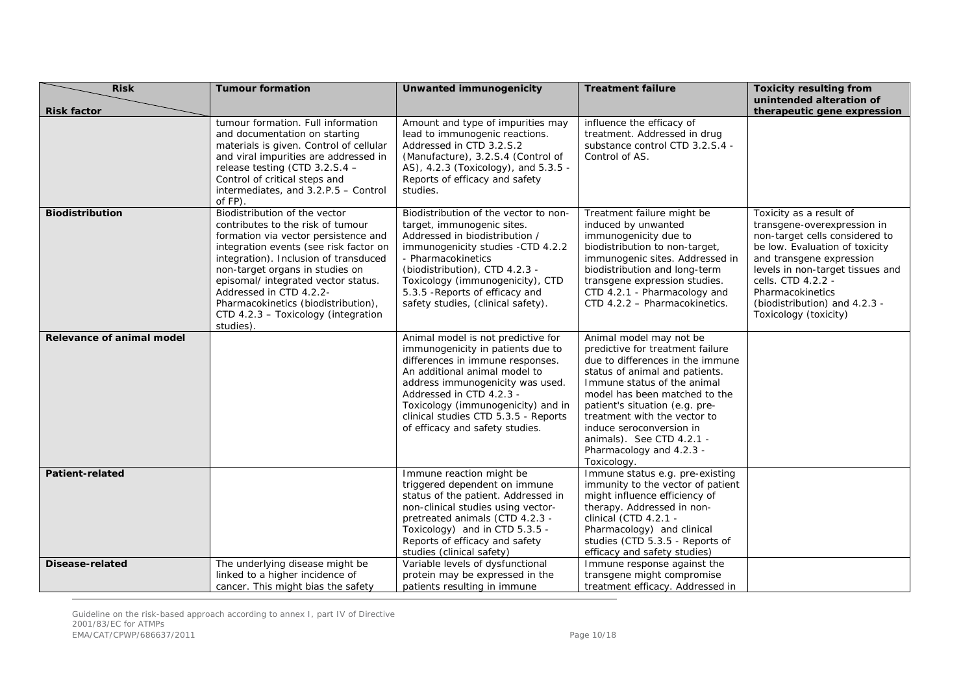| <b>Risk</b>               | <b>Tumour formation</b>                                                                                                                                                                                                                                                                                                                                                                       | Unwanted immunogenicity                                                                                                                                                                                                                                                                                                       | <b>Treatment failure</b>                                                                                                                                                                                                                                                                                                                                                | <b>Toxicity resulting from</b>                                                                                                                                                                                                                                                                 |
|---------------------------|-----------------------------------------------------------------------------------------------------------------------------------------------------------------------------------------------------------------------------------------------------------------------------------------------------------------------------------------------------------------------------------------------|-------------------------------------------------------------------------------------------------------------------------------------------------------------------------------------------------------------------------------------------------------------------------------------------------------------------------------|-------------------------------------------------------------------------------------------------------------------------------------------------------------------------------------------------------------------------------------------------------------------------------------------------------------------------------------------------------------------------|------------------------------------------------------------------------------------------------------------------------------------------------------------------------------------------------------------------------------------------------------------------------------------------------|
| <b>Risk factor</b>        |                                                                                                                                                                                                                                                                                                                                                                                               |                                                                                                                                                                                                                                                                                                                               |                                                                                                                                                                                                                                                                                                                                                                         | unintended alteration of<br>therapeutic gene expression                                                                                                                                                                                                                                        |
|                           | tumour formation. Full information<br>and documentation on starting<br>materials is given. Control of cellular<br>and viral impurities are addressed in<br>release testing (CTD 3.2.S.4 -<br>Control of critical steps and<br>intermediates, and 3.2.P.5 - Control<br>of FP).                                                                                                                 | Amount and type of impurities may<br>lead to immunogenic reactions.<br>Addressed in CTD 3.2.S.2<br>(Manufacture), 3.2.S.4 (Control of<br>AS), 4.2.3 (Toxicology), and 5.3.5 -<br>Reports of efficacy and safety<br>studies.                                                                                                   | influence the efficacy of<br>treatment. Addressed in drug<br>substance control CTD 3.2.S.4 -<br>Control of AS.                                                                                                                                                                                                                                                          |                                                                                                                                                                                                                                                                                                |
| Biodistribution           | Biodistribution of the vector<br>contributes to the risk of tumour<br>formation via vector persistence and<br>integration events (see risk factor on<br>integration). Inclusion of transduced<br>non-target organs in studies on<br>episomal/ integrated vector status.<br>Addressed in CTD 4.2.2-<br>Pharmacokinetics (biodistribution),<br>CTD 4.2.3 - Toxicology (integration<br>studies). | Biodistribution of the vector to non-<br>target, immunogenic sites.<br>Addressed in biodistribution /<br>immunogenicity studies -CTD 4.2.2<br>- Pharmacokinetics<br>(biodistribution), CTD 4.2.3 -<br>Toxicology (immunogenicity), CTD<br>5.3.5 - Reports of efficacy and<br>safety studies, (clinical safety).               | Treatment failure might be<br>induced by unwanted<br>immunogenicity due to<br>biodistribution to non-target,<br>immunogenic sites. Addressed in<br>biodistribution and long-term<br>transgene expression studies.<br>CTD 4.2.1 - Pharmacology and<br>CTD 4.2.2 - Pharmacokinetics.                                                                                      | Toxicity as a result of<br>transgene-overexpression in<br>non-target cells considered to<br>be low. Evaluation of toxicity<br>and transgene expression<br>levels in non-target tissues and<br>cells. CTD 4.2.2 -<br>Pharmacokinetics<br>(biodistribution) and 4.2.3 -<br>Toxicology (toxicity) |
| Relevance of animal model |                                                                                                                                                                                                                                                                                                                                                                                               | Animal model is not predictive for<br>immunogenicity in patients due to<br>differences in immune responses.<br>An additional animal model to<br>address immunogenicity was used.<br>Addressed in CTD 4.2.3 -<br>Toxicology (immunogenicity) and in<br>clinical studies CTD 5.3.5 - Reports<br>of efficacy and safety studies. | Animal model may not be<br>predictive for treatment failure<br>due to differences in the immune<br>status of animal and patients.<br>Immune status of the animal<br>model has been matched to the<br>patient's situation (e.g. pre-<br>treatment with the vector to<br>induce seroconversion in<br>animals). See CTD 4.2.1 -<br>Pharmacology and 4.2.3 -<br>Toxicology. |                                                                                                                                                                                                                                                                                                |
| <b>Patient-related</b>    |                                                                                                                                                                                                                                                                                                                                                                                               | Immune reaction might be<br>triggered dependent on immune<br>status of the patient. Addressed in<br>non-clinical studies using vector-<br>pretreated animals (CTD 4.2.3 -<br>Toxicology) and in CTD 5.3.5 -<br>Reports of efficacy and safety<br>studies (clinical safety)                                                    | Immune status e.g. pre-existing<br>immunity to the vector of patient<br>might influence efficiency of<br>therapy. Addressed in non-<br>clinical (CTD 4.2.1 -<br>Pharmacology) and clinical<br>studies (CTD 5.3.5 - Reports of<br>efficacy and safety studies)                                                                                                           |                                                                                                                                                                                                                                                                                                |
| Disease-related           | The underlying disease might be<br>linked to a higher incidence of<br>cancer. This might bias the safety                                                                                                                                                                                                                                                                                      | Variable levels of dysfunctional<br>protein may be expressed in the<br>patients resulting in immune                                                                                                                                                                                                                           | Immune response against the<br>transgene might compromise<br>treatment efficacy. Addressed in                                                                                                                                                                                                                                                                           |                                                                                                                                                                                                                                                                                                |

Guideline on the risk-based approach according to annex I, part IV of Directive 2001/83/EC for ATMPs EMA/CAT/CPWP/686637/2011 Page 10/18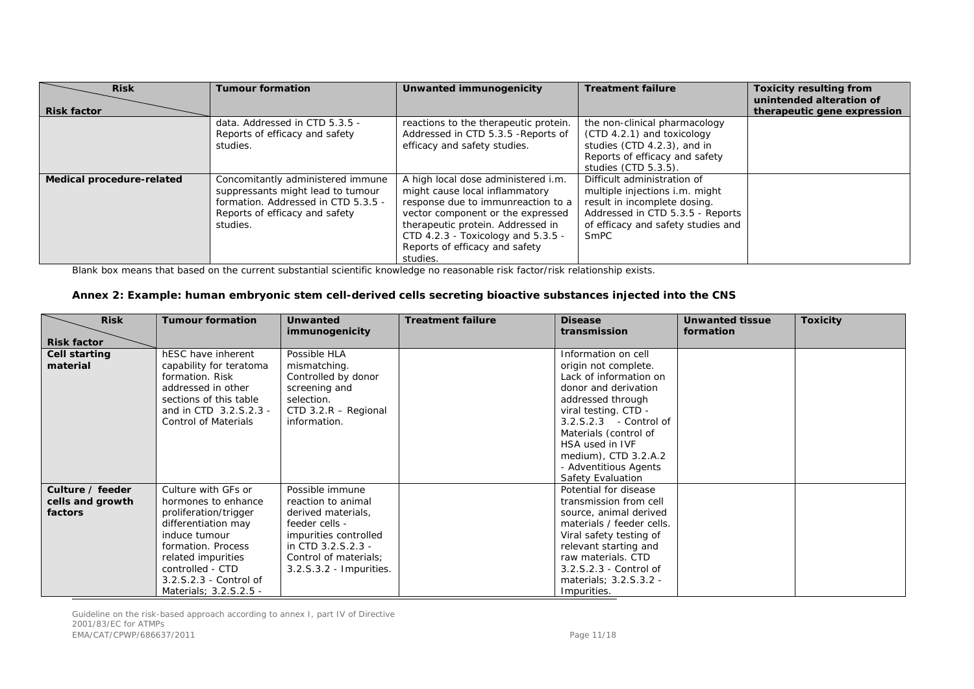| <b>Risk</b><br><b>Risk factor</b> | <b>Tumour formation</b>                                                                                                                                     | Unwanted immunogenicity                                                                                                                                                                                                                                                   | <b>Treatment failure</b>                                                                                                                                                        | <b>Toxicity resulting from</b><br>unintended alteration of<br>therapeutic gene expression |
|-----------------------------------|-------------------------------------------------------------------------------------------------------------------------------------------------------------|---------------------------------------------------------------------------------------------------------------------------------------------------------------------------------------------------------------------------------------------------------------------------|---------------------------------------------------------------------------------------------------------------------------------------------------------------------------------|-------------------------------------------------------------------------------------------|
|                                   | data. Addressed in CTD 5.3.5 -<br>Reports of efficacy and safety<br>studies.                                                                                | reactions to the therapeutic protein.<br>Addressed in CTD 5.3.5 - Reports of<br>efficacy and safety studies.                                                                                                                                                              | the non-clinical pharmacology<br>$(CTD 4.2.1)$ and toxicology<br>studies (CTD 4.2.3), and in<br>Reports of efficacy and safety<br>studies (CTD 5.3.5).                          |                                                                                           |
| Medical procedure-related         | Concomitantly administered immune<br>suppressants might lead to tumour<br>formation. Addressed in CTD 5.3.5 -<br>Reports of efficacy and safety<br>studies. | A high local dose administered i.m.<br>might cause local inflammatory<br>response due to immunreaction to a<br>vector component or the expressed<br>therapeutic protein. Addressed in<br>CTD 4.2.3 - Toxicology and 5.3.5 -<br>Reports of efficacy and safety<br>studies. | Difficult administration of<br>multiple injections i.m. might<br>result in incomplete dosing.<br>Addressed in CTD 5.3.5 - Reports<br>of efficacy and safety studies and<br>SmPC |                                                                                           |

Blank box means that based on the current substantial scientific knowledge no reasonable risk factor/risk relationship exists.

#### **Annex 2: Example: human embryonic stem cell-derived cells secreting bioactive substances injected into the CNS**

| <b>Risk</b>                                     | <b>Tumour formation</b>                                                                                                                                                                                                         | <b>Unwanted</b><br>immunogenicity                                                                                                                                                | <b>Treatment failure</b> | <b>Disease</b><br>transmission                                                                                                                                                                                                                                                         | <b>Unwanted tissue</b><br>formation | <b>Toxicity</b> |
|-------------------------------------------------|---------------------------------------------------------------------------------------------------------------------------------------------------------------------------------------------------------------------------------|----------------------------------------------------------------------------------------------------------------------------------------------------------------------------------|--------------------------|----------------------------------------------------------------------------------------------------------------------------------------------------------------------------------------------------------------------------------------------------------------------------------------|-------------------------------------|-----------------|
| <b>Risk factor</b>                              |                                                                                                                                                                                                                                 |                                                                                                                                                                                  |                          |                                                                                                                                                                                                                                                                                        |                                     |                 |
| Cell starting<br>material                       | hESC have inherent<br>capability for teratoma<br>formation. Risk<br>addressed in other<br>sections of this table<br>and in CTD 3.2.S.2.3 -<br><b>Control of Materials</b>                                                       | Possible HLA<br>mismatching.<br>Controlled by donor<br>screening and<br>selection.<br>CTD $3.2.R$ – Regional<br>information.                                                     |                          | Information on cell<br>origin not complete.<br>Lack of information on<br>donor and derivation<br>addressed through<br>viral testing. CTD -<br>3.2.S.2.3 - Control of<br>Materials (control of<br>HSA used in IVF<br>medium), CTD 3.2.A.2<br>- Adventitious Agents<br>Safety Evaluation |                                     |                 |
| Culture / feeder<br>cells and growth<br>factors | Culture with GFs or<br>hormones to enhance<br>proliferation/trigger<br>differentiation may<br>induce tumour<br>formation. Process<br>related impurities<br>controlled - CTD<br>3.2.S.2.3 - Control of<br>Materials; 3.2.S.2.5 - | Possible immune<br>reaction to animal<br>derived materials,<br>feeder cells -<br>impurities controlled<br>in CTD 3.2.S.2.3 -<br>Control of materials;<br>3.2.S.3.2 - Impurities. |                          | Potential for disease<br>transmission from cell<br>source, animal derived<br>materials / feeder cells.<br>Viral safety testing of<br>relevant starting and<br>raw materials. CTD<br>3.2.S.2.3 - Control of<br>materials; 3.2.S.3.2 -<br>Impurities.                                    |                                     |                 |

Guideline on the risk-based approach according to annex I, part IV of Directive 2001/83/EC for ATMPs EMA/CAT/CPWP/686637/2011 2012 2022 2023 2024 2022 2023 2024 2022 2023 2024 2022 2023 2024 2022 2023 2024 2022 20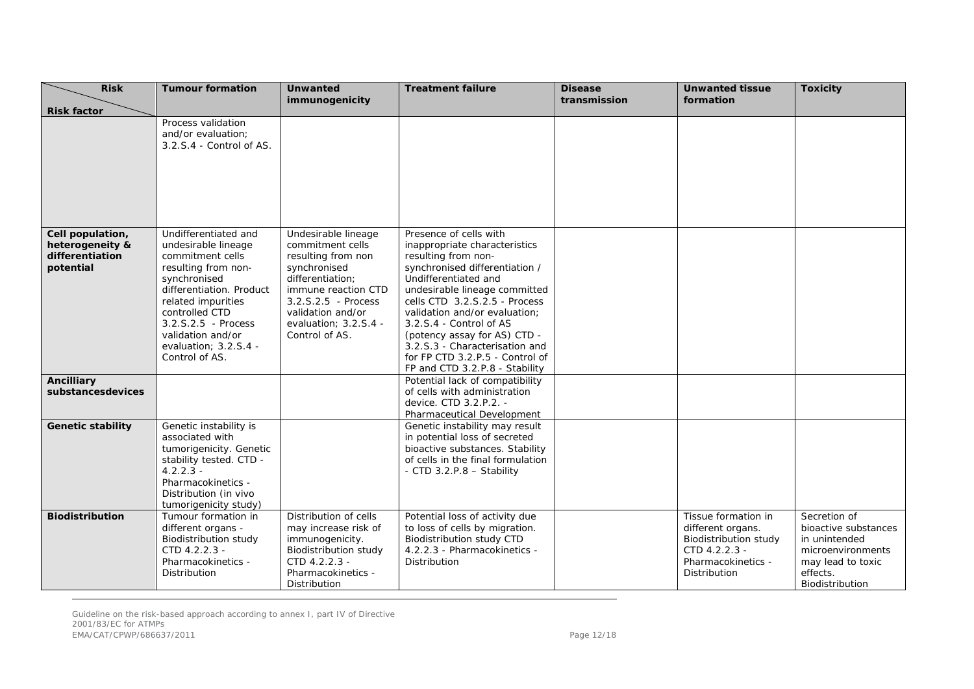| <b>Risk</b>                                                         | <b>Tumour formation</b>                                                                                                                                                                                                                                               | <b>Unwanted</b><br>immunogenicity                                                                                                                                                                                 | <b>Treatment failure</b>                                                                                                                                                                                                                                                                                                                                                                                      | <b>Disease</b><br>transmission | <b>Unwanted tissue</b><br>formation                                                                                      | <b>Toxicity</b>                                                                                                                |
|---------------------------------------------------------------------|-----------------------------------------------------------------------------------------------------------------------------------------------------------------------------------------------------------------------------------------------------------------------|-------------------------------------------------------------------------------------------------------------------------------------------------------------------------------------------------------------------|---------------------------------------------------------------------------------------------------------------------------------------------------------------------------------------------------------------------------------------------------------------------------------------------------------------------------------------------------------------------------------------------------------------|--------------------------------|--------------------------------------------------------------------------------------------------------------------------|--------------------------------------------------------------------------------------------------------------------------------|
| <b>Risk factor</b>                                                  |                                                                                                                                                                                                                                                                       |                                                                                                                                                                                                                   |                                                                                                                                                                                                                                                                                                                                                                                                               |                                |                                                                                                                          |                                                                                                                                |
|                                                                     | Process validation<br>and/or evaluation;<br>3.2.S.4 - Control of AS.                                                                                                                                                                                                  |                                                                                                                                                                                                                   |                                                                                                                                                                                                                                                                                                                                                                                                               |                                |                                                                                                                          |                                                                                                                                |
| Cell population,<br>heterogeneity &<br>differentiation<br>potential | Undifferentiated and<br>undesirable lineage<br>commitment cells<br>resulting from non-<br>synchronised<br>differentiation. Product<br>related impurities<br>controlled CTD<br>$3.2.5.2.5$ - Process<br>validation and/or<br>evaluation; $3.2.S.4 -$<br>Control of AS. | Undesirable lineage<br>commitment cells<br>resulting from non<br>synchronised<br>differentiation:<br>immune reaction CTD<br>$3.2.5.2.5$ - Process<br>validation and/or<br>evaluation: 3.2.S.4 -<br>Control of AS. | Presence of cells with<br>inappropriate characteristics<br>resulting from non-<br>synchronised differentiation /<br>Undifferentiated and<br>undesirable lineage committed<br>cells CTD 3.2.S.2.5 - Process<br>validation and/or evaluation;<br>3.2.S.4 - Control of AS<br>(potency assay for AS) CTD -<br>3.2.S.3 - Characterisation and<br>for FP CTD 3.2.P.5 - Control of<br>FP and CTD 3.2.P.8 - Stability |                                |                                                                                                                          |                                                                                                                                |
| <b>Ancilliary</b><br>substancesdevices                              |                                                                                                                                                                                                                                                                       |                                                                                                                                                                                                                   | Potential lack of compatibility<br>of cells with administration<br>device. CTD 3.2.P.2. -<br>Pharmaceutical Development                                                                                                                                                                                                                                                                                       |                                |                                                                                                                          |                                                                                                                                |
| <b>Genetic stability</b>                                            | Genetic instability is<br>associated with<br>tumorigenicity. Genetic<br>stability tested. CTD -<br>$4.2.2.3 -$<br>Pharmacokinetics -<br>Distribution (in vivo<br>tumorigenicity study)                                                                                |                                                                                                                                                                                                                   | Genetic instability may result<br>in potential loss of secreted<br>bioactive substances. Stability<br>of cells in the final formulation<br>- CTD 3.2.P.8 - Stability                                                                                                                                                                                                                                          |                                |                                                                                                                          |                                                                                                                                |
| <b>Biodistribution</b>                                              | Tumour formation in<br>different organs -<br>Biodistribution study<br>CTD 4.2.2.3 -<br>Pharmacokinetics -<br>Distribution                                                                                                                                             | Distribution of cells<br>may increase risk of<br>immunogenicity.<br><b>Biodistribution study</b><br>CTD 4.2.2.3 -<br>Pharmacokinetics -<br>Distribution                                                           | Potential loss of activity due<br>to loss of cells by migration.<br>Biodistribution study CTD<br>4.2.2.3 - Pharmacokinetics -<br>Distribution                                                                                                                                                                                                                                                                 |                                | Tissue formation in<br>different organs.<br>Biodistribution study<br>CTD 4.2.2.3 -<br>Pharmacokinetics -<br>Distribution | Secretion of<br>bioactive substances<br>in unintended<br>microenvironments<br>may lead to toxic<br>effects.<br>Biodistribution |

Guideline on the risk-based approach according to annex I, part IV of Directive 2001/83/EC for ATMPs EMA/CAT/CPWP/686637/2011 Page 12/18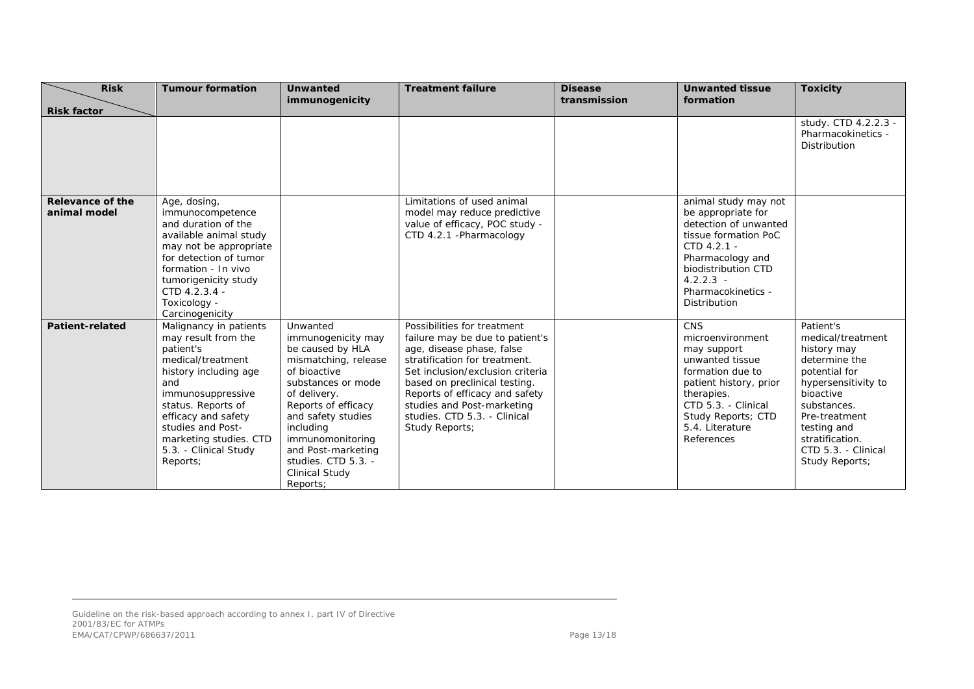| <b>Risk</b>                             | <b>Tumour formation</b>                                                                                                                                                                                                                                               | <b>Unwanted</b>                                                                                                                                                                                                                                                                                  | <b>Treatment failure</b>                                                                                                                                                                                                                                                                                            | <b>Disease</b> | <b>Unwanted tissue</b>                                                                                                                                                                                     | <b>Toxicity</b>                                                                                                                                                                                                                |
|-----------------------------------------|-----------------------------------------------------------------------------------------------------------------------------------------------------------------------------------------------------------------------------------------------------------------------|--------------------------------------------------------------------------------------------------------------------------------------------------------------------------------------------------------------------------------------------------------------------------------------------------|---------------------------------------------------------------------------------------------------------------------------------------------------------------------------------------------------------------------------------------------------------------------------------------------------------------------|----------------|------------------------------------------------------------------------------------------------------------------------------------------------------------------------------------------------------------|--------------------------------------------------------------------------------------------------------------------------------------------------------------------------------------------------------------------------------|
| <b>Risk factor</b>                      |                                                                                                                                                                                                                                                                       | immunogenicity                                                                                                                                                                                                                                                                                   |                                                                                                                                                                                                                                                                                                                     | transmission   | formation                                                                                                                                                                                                  |                                                                                                                                                                                                                                |
|                                         |                                                                                                                                                                                                                                                                       |                                                                                                                                                                                                                                                                                                  |                                                                                                                                                                                                                                                                                                                     |                |                                                                                                                                                                                                            | study. CTD 4.2.2.3 -<br>Pharmacokinetics -<br>Distribution                                                                                                                                                                     |
| <b>Relevance of the</b><br>animal model | Age, dosing,<br>immunocompetence<br>and duration of the<br>available animal study<br>may not be appropriate<br>for detection of tumor<br>formation - In vivo<br>tumorigenicity study<br>CTD 4.2.3.4 -<br>Toxicology -<br>Carcinogenicity                              |                                                                                                                                                                                                                                                                                                  | Limitations of used animal<br>model may reduce predictive<br>value of efficacy, POC study -<br>CTD 4.2.1 - Pharmacology                                                                                                                                                                                             |                | animal study may not<br>be appropriate for<br>detection of unwanted<br>tissue formation PoC<br>CTD 4.2.1 -<br>Pharmacology and<br>biodistribution CTD<br>$4.2.2.3 -$<br>Pharmacokinetics -<br>Distribution |                                                                                                                                                                                                                                |
| <b>Patient-related</b>                  | Malignancy in patients<br>may result from the<br>patient's<br>medical/treatment<br>history including age<br>and<br>immunosuppressive<br>status. Reports of<br>efficacy and safety<br>studies and Post-<br>marketing studies. CTD<br>5.3. - Clinical Study<br>Reports; | Unwanted<br>immunogenicity may<br>be caused by HLA<br>mismatching, release<br>of bioactive<br>substances or mode<br>of delivery.<br>Reports of efficacy<br>and safety studies<br>including<br>immunomonitoring<br>and Post-marketing<br>studies. CTD 5.3. -<br><b>Clinical Study</b><br>Reports: | Possibilities for treatment<br>failure may be due to patient's<br>age, disease phase, false<br>stratification for treatment.<br>Set inclusion/exclusion criteria<br>based on preclinical testing.<br>Reports of efficacy and safety<br>studies and Post-marketing<br>studies. CTD 5.3. - Clinical<br>Study Reports; |                | CNS<br>microenvironment<br>may support<br>unwanted tissue<br>formation due to<br>patient history, prior<br>therapies.<br>CTD 5.3. - Clinical<br>Study Reports; CTD<br>5.4. Literature<br>References        | Patient's<br>medical/treatment<br>history may<br>determine the<br>potential for<br>hypersensitivity to<br>bioactive<br>substances.<br>Pre-treatment<br>testing and<br>stratification.<br>CTD 5.3. - Clinical<br>Study Reports; |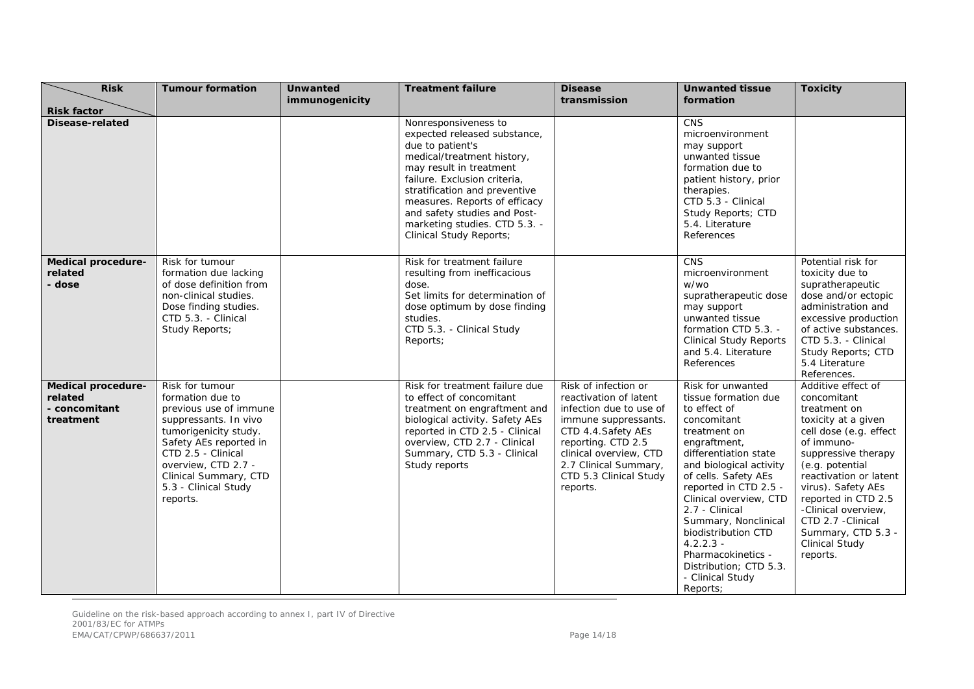| <b>Risk</b>                                                 | <b>Tumour formation</b>                                                                                                                                                                                                                             | <b>Unwanted</b><br>immunogenicity | <b>Treatment failure</b>                                                                                                                                                                                                                                                                                                               | <b>Disease</b><br>transmission                                                                                                                                                                                                          | <b>Unwanted tissue</b><br>formation                                                                                                                                                                                                                                                                                                                                                                     | <b>Toxicity</b>                                                                                                                                                                                                                                                                                                                           |
|-------------------------------------------------------------|-----------------------------------------------------------------------------------------------------------------------------------------------------------------------------------------------------------------------------------------------------|-----------------------------------|----------------------------------------------------------------------------------------------------------------------------------------------------------------------------------------------------------------------------------------------------------------------------------------------------------------------------------------|-----------------------------------------------------------------------------------------------------------------------------------------------------------------------------------------------------------------------------------------|---------------------------------------------------------------------------------------------------------------------------------------------------------------------------------------------------------------------------------------------------------------------------------------------------------------------------------------------------------------------------------------------------------|-------------------------------------------------------------------------------------------------------------------------------------------------------------------------------------------------------------------------------------------------------------------------------------------------------------------------------------------|
| <b>Risk factor</b>                                          |                                                                                                                                                                                                                                                     |                                   |                                                                                                                                                                                                                                                                                                                                        |                                                                                                                                                                                                                                         |                                                                                                                                                                                                                                                                                                                                                                                                         |                                                                                                                                                                                                                                                                                                                                           |
| <b>Disease-related</b>                                      |                                                                                                                                                                                                                                                     |                                   | Nonresponsiveness to<br>expected released substance,<br>due to patient's<br>medical/treatment history,<br>may result in treatment<br>failure. Exclusion criteria,<br>stratification and preventive<br>measures. Reports of efficacy<br>and safety studies and Post-<br>marketing studies. CTD 5.3. -<br><b>Clinical Study Reports;</b> |                                                                                                                                                                                                                                         | <b>CNS</b><br>microenvironment<br>may support<br>unwanted tissue<br>formation due to<br>patient history, prior<br>therapies.<br>CTD 5.3 - Clinical<br>Study Reports; CTD<br>5.4. Literature<br>References                                                                                                                                                                                               |                                                                                                                                                                                                                                                                                                                                           |
| Medical procedure-<br>related<br>- dose                     | Risk for tumour<br>formation due lacking<br>of dose definition from<br>non-clinical studies.<br>Dose finding studies.<br>CTD 5.3. - Clinical<br>Study Reports;                                                                                      |                                   | Risk for treatment failure<br>resulting from inefficacious<br>dose.<br>Set limits for determination of<br>dose optimum by dose finding<br>studies.<br>CTD 5.3. - Clinical Study<br>Reports;                                                                                                                                            |                                                                                                                                                                                                                                         | <b>CNS</b><br>microenvironment<br>w/wo<br>supratherapeutic dose<br>may support<br>unwanted tissue<br>formation CTD 5.3. -<br><b>Clinical Study Reports</b><br>and 5.4. Literature<br>References                                                                                                                                                                                                         | Potential risk for<br>toxicity due to<br>supratherapeutic<br>dose and/or ectopic<br>administration and<br>excessive production<br>of active substances.<br>CTD 5.3. - Clinical<br>Study Reports; CTD<br>5.4 Literature<br>References.                                                                                                     |
| Medical procedure-<br>related<br>- concomitant<br>treatment | Risk for tumour<br>formation due to<br>previous use of immune<br>suppressants. In vivo<br>tumorigenicity study.<br>Safety AEs reported in<br>CTD 2.5 - Clinical<br>overview, CTD 2.7 -<br>Clinical Summary, CTD<br>5.3 - Clinical Study<br>reports. |                                   | Risk for treatment failure due<br>to effect of concomitant<br>treatment on engraftment and<br>biological activity. Safety AEs<br>reported in CTD 2.5 - Clinical<br>overview, CTD 2.7 - Clinical<br>Summary, CTD 5.3 - Clinical<br>Study reports                                                                                        | Risk of infection or<br>reactivation of latent<br>infection due to use of<br>immune suppressants.<br>CTD 4.4. Safety AEs<br>reporting. CTD 2.5<br>clinical overview, CTD<br>2.7 Clinical Summary,<br>CTD 5.3 Clinical Study<br>reports. | Risk for unwanted<br>tissue formation due<br>to effect of<br>concomitant<br>treatment on<br>engraftment,<br>differentiation state<br>and biological activity<br>of cells. Safety AEs<br>reported in CTD 2.5 -<br>Clinical overview, CTD<br>2.7 - Clinical<br>Summary, Nonclinical<br>biodistribution CTD<br>$4.2.2.3 -$<br>Pharmacokinetics -<br>Distribution; CTD 5.3.<br>- Clinical Study<br>Reports; | Additive effect of<br>concomitant<br>treatment on<br>toxicity at a given<br>cell dose (e.g. effect<br>of immuno-<br>suppressive therapy<br>(e.g. potential<br>reactivation or latent<br>virus). Safety AEs<br>reported in CTD 2.5<br>-Clinical overview,<br>CTD 2.7 - Clinical<br>Summary, CTD 5.3 -<br><b>Clinical Study</b><br>reports. |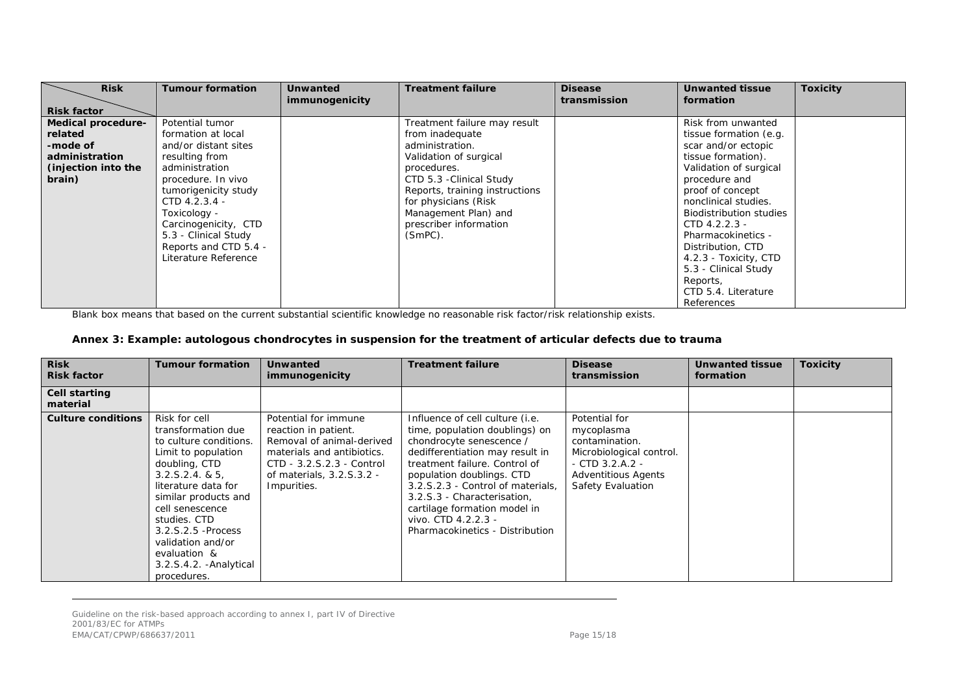| <b>Risk</b><br><b>Risk factor</b>                                                            | <b>Tumour formation</b>                                                                                                                                                                                                                                                           | <b>Unwanted</b><br>immunogenicity | <b>Treatment failure</b>                                                                                                                                                                                                                                          | <b>Disease</b><br>transmission | <b>Unwanted tissue</b><br>formation                                                                                                                                                                                                                                                                                                                                                | <b>Toxicity</b> |
|----------------------------------------------------------------------------------------------|-----------------------------------------------------------------------------------------------------------------------------------------------------------------------------------------------------------------------------------------------------------------------------------|-----------------------------------|-------------------------------------------------------------------------------------------------------------------------------------------------------------------------------------------------------------------------------------------------------------------|--------------------------------|------------------------------------------------------------------------------------------------------------------------------------------------------------------------------------------------------------------------------------------------------------------------------------------------------------------------------------------------------------------------------------|-----------------|
| Medical procedure-<br>related<br>-mode of<br>administration<br>(injection into the<br>brain) | Potential tumor<br>formation at local<br>and/or distant sites<br>resulting from<br>administration<br>procedure. In vivo<br>tumorigenicity study<br>CTD 4.2.3.4 -<br>Toxicology -<br>Carcinogenicity, CTD<br>5.3 - Clinical Study<br>Reports and CTD 5.4 -<br>Literature Reference |                                   | Treatment failure may result<br>from inadequate<br>administration.<br>Validation of surgical<br>procedures.<br>CTD 5.3 - Clinical Study<br>Reports, training instructions<br>for physicians (Risk<br>Management Plan) and<br>prescriber information<br>$(SmPC)$ . |                                | Risk from unwanted<br>tissue formation (e.g.<br>scar and/or ectopic<br>tissue formation).<br>Validation of surgical<br>procedure and<br>proof of concept<br>nonclinical studies.<br><b>Biodistribution studies</b><br>$CTD$ 4.2.2.3 -<br>Pharmacokinetics -<br>Distribution, CTD<br>4.2.3 - Toxicity, CTD<br>5.3 - Clinical Study<br>Reports,<br>CTD 5.4. Literature<br>References |                 |

Blank box means that based on the current substantial scientific knowledge no reasonable risk factor/risk relationship exists.

#### **Annex 3: Example: autologous chondrocytes in suspension for the treatment of articular defects due to trauma**

| <b>Risk</b><br><b>Risk factor</b> | <b>Tumour formation</b>                                                                                                                                                                                                                                                                                        | <b>Unwanted</b><br>immunogenicity                                                                                                                                                | <b>Treatment failure</b>                                                                                                                                                                                                                                                                                                                                     | <b>Disease</b><br>transmission                                                                                                                      | <b>Unwanted tissue</b><br>formation | <b>Toxicity</b> |
|-----------------------------------|----------------------------------------------------------------------------------------------------------------------------------------------------------------------------------------------------------------------------------------------------------------------------------------------------------------|----------------------------------------------------------------------------------------------------------------------------------------------------------------------------------|--------------------------------------------------------------------------------------------------------------------------------------------------------------------------------------------------------------------------------------------------------------------------------------------------------------------------------------------------------------|-----------------------------------------------------------------------------------------------------------------------------------------------------|-------------------------------------|-----------------|
| Cell starting<br>material         |                                                                                                                                                                                                                                                                                                                |                                                                                                                                                                                  |                                                                                                                                                                                                                                                                                                                                                              |                                                                                                                                                     |                                     |                 |
| <b>Culture conditions</b>         | Risk for cell<br>transformation due<br>to culture conditions.<br>Limit to population<br>doubling, CTD<br>3.2.5.2.4.8.5<br>literature data for<br>similar products and<br>cell senescence<br>studies. CTD<br>3.2.S.2.5 - Process<br>validation and/or<br>evaluation &<br>3.2.S.4.2. - Analytical<br>procedures. | Potential for immune<br>reaction in patient.<br>Removal of animal-derived<br>materials and antibiotics.<br>CTD - 3.2.S.2.3 - Control<br>of materials, 3.2.S.3.2 -<br>Impurities. | Influence of cell culture (i.e.<br>time, population doublings) on<br>chondrocyte senescence /<br>dedifferentiation may result in<br>treatment failure. Control of<br>population doublings. CTD<br>3.2.S.2.3 - Control of materials.<br>3.2.S.3 - Characterisation,<br>cartilage formation model in<br>vivo. CTD 4.2.2.3 -<br>Pharmacokinetics - Distribution | Potential for<br>mycoplasma<br>contamination.<br>Microbiological control.<br>$-$ CTD 3.2.A.2 $-$<br><b>Adventitious Agents</b><br>Safety Evaluation |                                     |                 |

Guideline on the risk-based approach according to annex I, part IV of Directive 2001/83/EC for ATMPs EMA/CAT/CPWP/686637/2011 2012 2022 2023 2024 2022 2023 2024 2022 2023 2024 2022 2023 2024 2022 2023 2024 2022 20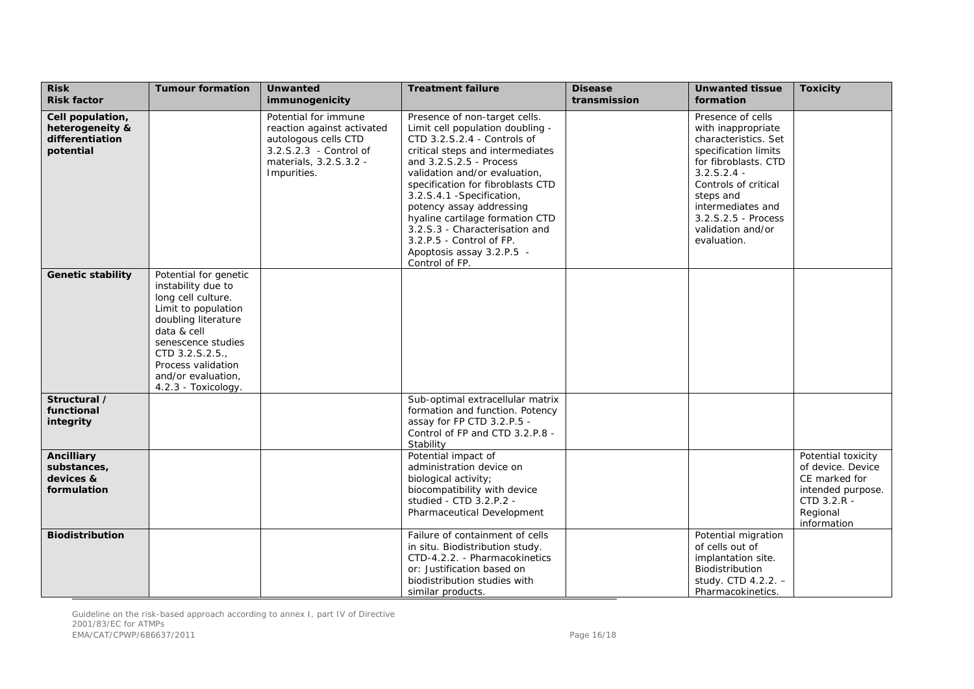| <b>Risk</b><br><b>Risk factor</b>                                   | <b>Tumour formation</b>                                                                                                                                                                                                                   | <b>Unwanted</b><br>immunogenicity                                                                                                             | <b>Treatment failure</b>                                                                                                                                                                                                                                                                                                                                                                                                                       | <b>Disease</b><br>transmission | <b>Unwanted tissue</b><br>formation                                                                                                                                                                                                                   | <b>Toxicity</b>                                                                                                         |
|---------------------------------------------------------------------|-------------------------------------------------------------------------------------------------------------------------------------------------------------------------------------------------------------------------------------------|-----------------------------------------------------------------------------------------------------------------------------------------------|------------------------------------------------------------------------------------------------------------------------------------------------------------------------------------------------------------------------------------------------------------------------------------------------------------------------------------------------------------------------------------------------------------------------------------------------|--------------------------------|-------------------------------------------------------------------------------------------------------------------------------------------------------------------------------------------------------------------------------------------------------|-------------------------------------------------------------------------------------------------------------------------|
| Cell population,<br>heterogeneity &<br>differentiation<br>potential |                                                                                                                                                                                                                                           | Potential for immune<br>reaction against activated<br>autologous cells CTD<br>3.2.S.2.3 - Control of<br>materials, 3.2.S.3.2 -<br>Impurities. | Presence of non-target cells.<br>Limit cell population doubling -<br>CTD 3.2.S.2.4 - Controls of<br>critical steps and intermediates<br>and 3.2.S.2.5 - Process<br>validation and/or evaluation,<br>specification for fibroblasts CTD<br>3.2.S.4.1 -Specification,<br>potency assay addressing<br>hyaline cartilage formation CTD<br>3.2.S.3 - Characterisation and<br>3.2.P.5 - Control of FP.<br>Apoptosis assay 3.2.P.5 -<br>Control of FP. |                                | Presence of cells<br>with inappropriate<br>characteristics. Set<br>specification limits<br>for fibroblasts. CTD<br>$3.2.5.2.4 -$<br>Controls of critical<br>steps and<br>intermediates and<br>3.2.S.2.5 - Process<br>validation and/or<br>evaluation. |                                                                                                                         |
| <b>Genetic stability</b>                                            | Potential for genetic<br>instability due to<br>long cell culture.<br>Limit to population<br>doubling literature<br>data & cell<br>senescence studies<br>CTD 3.2.S.2.5.<br>Process validation<br>and/or evaluation,<br>4.2.3 - Toxicology. |                                                                                                                                               |                                                                                                                                                                                                                                                                                                                                                                                                                                                |                                |                                                                                                                                                                                                                                                       |                                                                                                                         |
| Structural /<br>functional<br>integrity                             |                                                                                                                                                                                                                                           |                                                                                                                                               | Sub-optimal extracellular matrix<br>formation and function. Potency<br>assay for FP CTD 3.2.P.5 -<br>Control of FP and CTD 3.2.P.8 -<br>Stability                                                                                                                                                                                                                                                                                              |                                |                                                                                                                                                                                                                                                       |                                                                                                                         |
| <b>Ancilliary</b><br>substances,<br>devices &<br>formulation        |                                                                                                                                                                                                                                           |                                                                                                                                               | Potential impact of<br>administration device on<br>biological activity;<br>biocompatibility with device<br>studied - CTD 3.2.P.2 -<br>Pharmaceutical Development                                                                                                                                                                                                                                                                               |                                |                                                                                                                                                                                                                                                       | Potential toxicity<br>of device. Device<br>CE marked for<br>intended purpose.<br>CTD 3.2.R -<br>Regional<br>information |
| <b>Biodistribution</b>                                              |                                                                                                                                                                                                                                           |                                                                                                                                               | Failure of containment of cells<br>in situ. Biodistribution study.<br>CTD-4.2.2. - Pharmacokinetics<br>or: Justification based on<br>biodistribution studies with<br>similar products.                                                                                                                                                                                                                                                         |                                | Potential migration<br>of cells out of<br>implantation site.<br>Biodistribution<br>study. CTD 4.2.2. -<br>Pharmacokinetics.                                                                                                                           |                                                                                                                         |

Guideline on the risk-based approach according to annex I, part IV of Directive 2001/83/EC for ATMPs EMA/CAT/CPWP/686637/2011 2012 2022 2023 2024 2022 2023 2024 2022 2023 2024 2022 2023 2024 2022 2023 2024 2022 20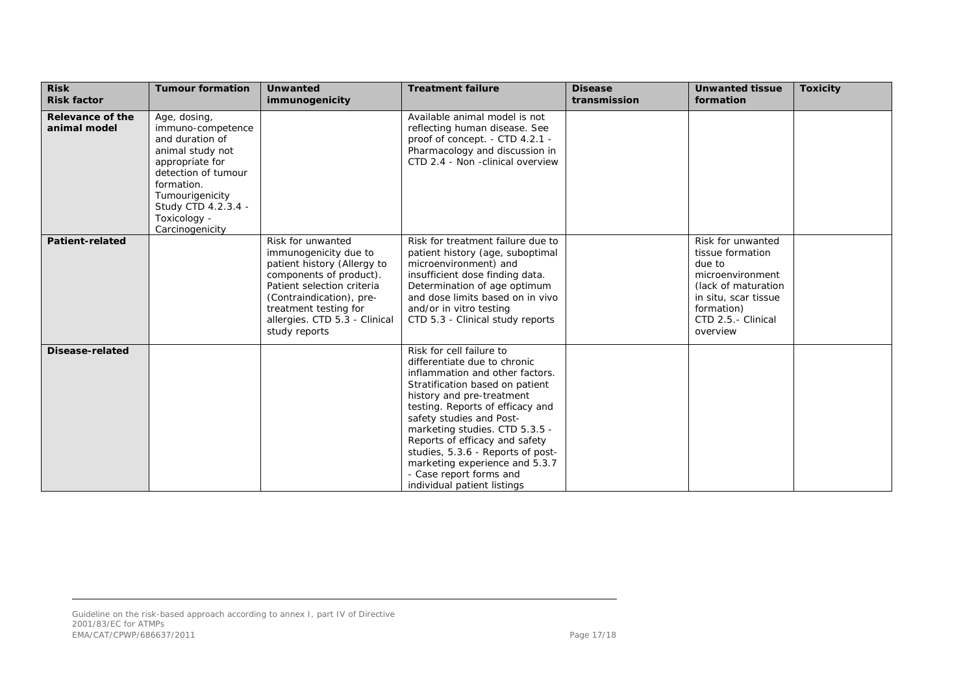| <b>Risk</b><br><b>Risk factor</b> | <b>Tumour formation</b>                                                                                                                                                                                       | <b>Unwanted</b><br>immunogenicity                                                                                                                                                                                                         | <b>Treatment failure</b>                                                                                                                                                                                                                                                                                                                                                                                                         | <b>Disease</b><br>transmission | <b>Unwanted tissue</b><br>formation                                                                                                                                | <b>Toxicity</b> |
|-----------------------------------|---------------------------------------------------------------------------------------------------------------------------------------------------------------------------------------------------------------|-------------------------------------------------------------------------------------------------------------------------------------------------------------------------------------------------------------------------------------------|----------------------------------------------------------------------------------------------------------------------------------------------------------------------------------------------------------------------------------------------------------------------------------------------------------------------------------------------------------------------------------------------------------------------------------|--------------------------------|--------------------------------------------------------------------------------------------------------------------------------------------------------------------|-----------------|
| Relevance of the<br>animal model  | Age, dosing,<br>immuno-competence<br>and duration of<br>animal study not<br>appropriate for<br>detection of tumour<br>formation.<br>Tumourigenicity<br>Study CTD 4.2.3.4 -<br>Toxicology -<br>Carcinogenicity |                                                                                                                                                                                                                                           | Available animal model is not<br>reflecting human disease. See<br>proof of concept. - CTD 4.2.1 -<br>Pharmacology and discussion in<br>CTD 2.4 - Non -clinical overview                                                                                                                                                                                                                                                          |                                |                                                                                                                                                                    |                 |
| <b>Patient-related</b>            |                                                                                                                                                                                                               | Risk for unwanted<br>immunogenicity due to<br>patient history (Allergy to<br>components of product).<br>Patient selection criteria<br>(Contraindication), pre-<br>treatment testing for<br>allergies. CTD 5.3 - Clinical<br>study reports | Risk for treatment failure due to<br>patient history (age, suboptimal<br>microenvironment) and<br>insufficient dose finding data.<br>Determination of age optimum<br>and dose limits based on in vivo<br>and/or in vitro testing<br>CTD 5.3 - Clinical study reports                                                                                                                                                             |                                | Risk for unwanted<br>tissue formation<br>due to<br>microenvironment<br>(lack of maturation<br>in situ, scar tissue<br>formation)<br>CTD 2.5.- Clinical<br>overview |                 |
| Disease-related                   |                                                                                                                                                                                                               |                                                                                                                                                                                                                                           | Risk for cell failure to<br>differentiate due to chronic<br>inflammation and other factors.<br>Stratification based on patient<br>history and pre-treatment<br>testing. Reports of efficacy and<br>safety studies and Post-<br>marketing studies. CTD 5.3.5 -<br>Reports of efficacy and safety<br>studies, 5.3.6 - Reports of post-<br>marketing experience and 5.3.7<br>- Case report forms and<br>individual patient listings |                                |                                                                                                                                                                    |                 |